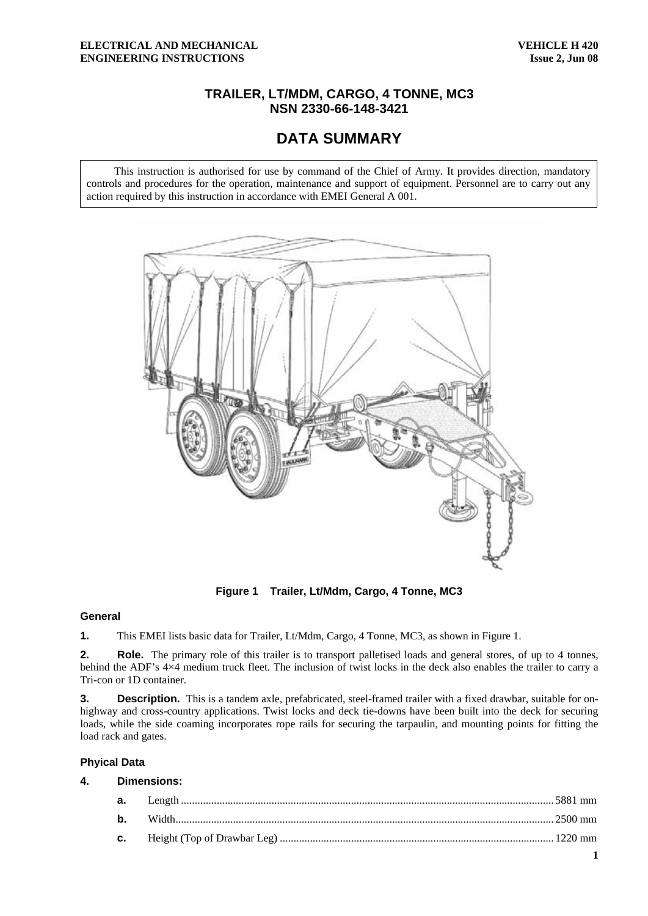# **TRAILER, LT/MDM, CARGO, 4 TONNE, MC3 NSN 2330-66-148-3421**

# **DATA SUMMARY**

This instruction is authorised for use by command of the Chief of Army. It provides direction, mandatory controls and procedures for the operation, maintenance and support of equipment. Personnel are to carry out any action required by this instruction in accordance with EMEI General A 001.



**Figure 1 Trailer, Lt/Mdm, Cargo, 4 Tonne, MC3** 

#### **General**

**1.** This EMEI lists basic data for Trailer, Lt/Mdm, Cargo, 4 Tonne, MC3, as shown in Figure 1.

**2.** Role. The primary role of this trailer is to transport palletised loads and general stores, of up to 4 tonnes, behind the ADF's 4×4 medium truck fleet. The inclusion of twist locks in the deck also enables the trailer to carry a Tri-con or 1D container.

**3. Description.** This is a tandem axle, prefabricated, steel-framed trailer with a fixed drawbar, suitable for onhighway and cross-country applications. Twist locks and deck tie-downs have been built into the deck for securing loads, while the side coaming incorporates rope rails for securing the tarpaulin, and mounting points for fitting the load rack and gates.

#### **Phyical Data**

### **4. Dimensions:**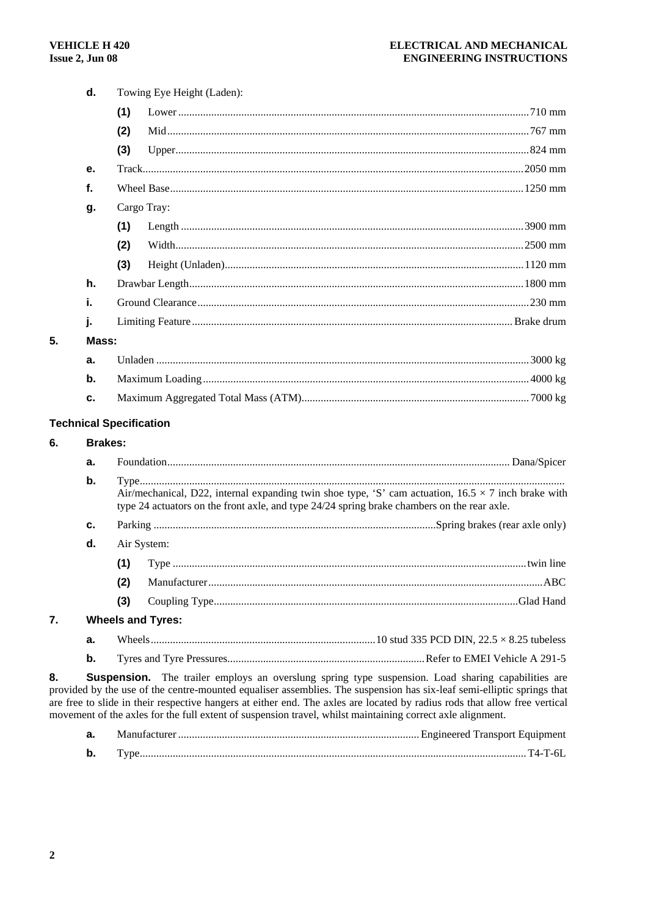|                                | d.             |     | Towing Eye Height (Laden):                                                                                                                                                                                                                                                                                                                                                                                                                                                      |  |
|--------------------------------|----------------|-----|---------------------------------------------------------------------------------------------------------------------------------------------------------------------------------------------------------------------------------------------------------------------------------------------------------------------------------------------------------------------------------------------------------------------------------------------------------------------------------|--|
|                                |                | (1) |                                                                                                                                                                                                                                                                                                                                                                                                                                                                                 |  |
|                                |                | (2) |                                                                                                                                                                                                                                                                                                                                                                                                                                                                                 |  |
|                                |                | (3) |                                                                                                                                                                                                                                                                                                                                                                                                                                                                                 |  |
|                                | е.             |     |                                                                                                                                                                                                                                                                                                                                                                                                                                                                                 |  |
|                                | f.             |     |                                                                                                                                                                                                                                                                                                                                                                                                                                                                                 |  |
|                                | g.             |     | Cargo Tray:                                                                                                                                                                                                                                                                                                                                                                                                                                                                     |  |
|                                |                | (1) |                                                                                                                                                                                                                                                                                                                                                                                                                                                                                 |  |
|                                |                | (2) |                                                                                                                                                                                                                                                                                                                                                                                                                                                                                 |  |
|                                |                | (3) |                                                                                                                                                                                                                                                                                                                                                                                                                                                                                 |  |
|                                | h.             |     |                                                                                                                                                                                                                                                                                                                                                                                                                                                                                 |  |
|                                | i.             |     |                                                                                                                                                                                                                                                                                                                                                                                                                                                                                 |  |
|                                | j.             |     |                                                                                                                                                                                                                                                                                                                                                                                                                                                                                 |  |
| 5.                             | Mass:          |     |                                                                                                                                                                                                                                                                                                                                                                                                                                                                                 |  |
|                                | a.             |     |                                                                                                                                                                                                                                                                                                                                                                                                                                                                                 |  |
|                                | b.             |     |                                                                                                                                                                                                                                                                                                                                                                                                                                                                                 |  |
|                                | c.             |     |                                                                                                                                                                                                                                                                                                                                                                                                                                                                                 |  |
| <b>Technical Specification</b> |                |     |                                                                                                                                                                                                                                                                                                                                                                                                                                                                                 |  |
| 6.                             | <b>Brakes:</b> |     |                                                                                                                                                                                                                                                                                                                                                                                                                                                                                 |  |
|                                | a.             |     |                                                                                                                                                                                                                                                                                                                                                                                                                                                                                 |  |
|                                | b.             |     |                                                                                                                                                                                                                                                                                                                                                                                                                                                                                 |  |
|                                |                |     | Air/mechanical, D22, internal expanding twin shoe type, 'S' cam actuation, $16.5 \times 7$ inch brake with<br>type 24 actuators on the front axle, and type 24/24 spring brake chambers on the rear axle.                                                                                                                                                                                                                                                                       |  |
|                                | c.             |     |                                                                                                                                                                                                                                                                                                                                                                                                                                                                                 |  |
|                                | d.             |     | Air System:                                                                                                                                                                                                                                                                                                                                                                                                                                                                     |  |
|                                |                | (1) |                                                                                                                                                                                                                                                                                                                                                                                                                                                                                 |  |
|                                |                | (2) |                                                                                                                                                                                                                                                                                                                                                                                                                                                                                 |  |
|                                |                | (3) |                                                                                                                                                                                                                                                                                                                                                                                                                                                                                 |  |
| 7.                             |                |     | <b>Wheels and Tyres:</b>                                                                                                                                                                                                                                                                                                                                                                                                                                                        |  |
|                                | а.             |     |                                                                                                                                                                                                                                                                                                                                                                                                                                                                                 |  |
|                                | b.             |     |                                                                                                                                                                                                                                                                                                                                                                                                                                                                                 |  |
| 8.                             |                |     | <b>Suspension.</b> The trailer employs an overslung spring type suspension. Load sharing capabilities are<br>provided by the use of the centre-mounted equaliser assemblies. The suspension has six-leaf semi-elliptic springs that<br>are free to slide in their respective hangers at either end. The axles are located by radius rods that allow free vertical<br>movement of the axles for the full extent of suspension travel, whilst maintaining correct axle alignment. |  |

| а. |  |
|----|--|
| b. |  |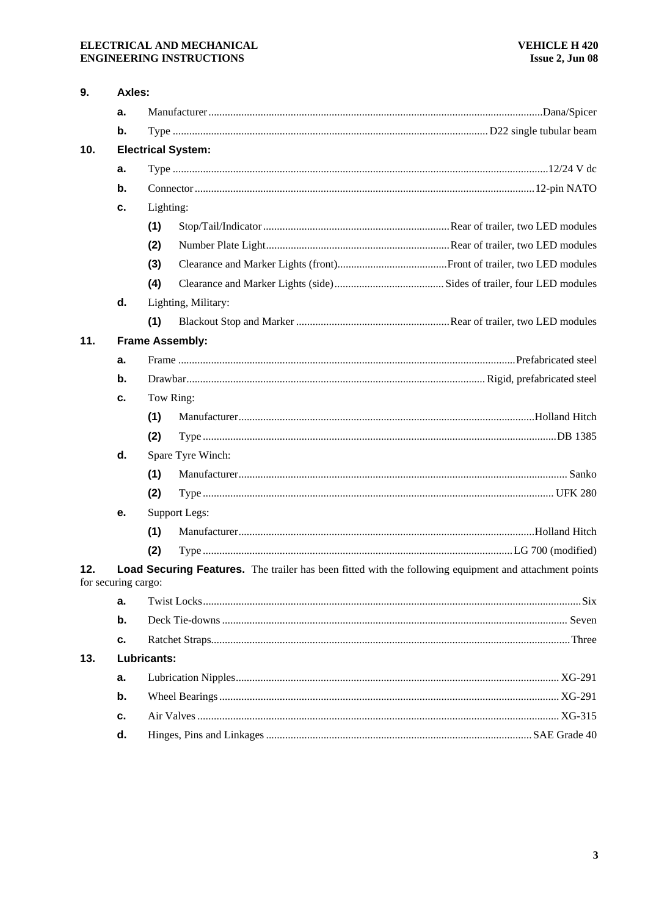## ELECTRICAL AND MECHANICAL **ENGINEERING INSTRUCTIONS**

| a.<br>b.<br>10.<br><b>Electrical System:</b><br>a.<br>b.<br>Lighting:<br>c.<br>(1)<br>(2)<br>(3)<br>(4)<br>d.<br>Lighting, Military:<br>(1)<br>11.<br><b>Frame Assembly:</b><br>a.<br>$\mathbf b$ .<br>Tow Ring:<br>c.<br>(1)<br>(2)<br>d.<br>Spare Tyre Winch:<br>(1)<br>(2)<br>Support Legs:<br>е. |  |
|------------------------------------------------------------------------------------------------------------------------------------------------------------------------------------------------------------------------------------------------------------------------------------------------------|--|
|                                                                                                                                                                                                                                                                                                      |  |
|                                                                                                                                                                                                                                                                                                      |  |
|                                                                                                                                                                                                                                                                                                      |  |
|                                                                                                                                                                                                                                                                                                      |  |
|                                                                                                                                                                                                                                                                                                      |  |
|                                                                                                                                                                                                                                                                                                      |  |
|                                                                                                                                                                                                                                                                                                      |  |
|                                                                                                                                                                                                                                                                                                      |  |
|                                                                                                                                                                                                                                                                                                      |  |
|                                                                                                                                                                                                                                                                                                      |  |
|                                                                                                                                                                                                                                                                                                      |  |
|                                                                                                                                                                                                                                                                                                      |  |
|                                                                                                                                                                                                                                                                                                      |  |
|                                                                                                                                                                                                                                                                                                      |  |
|                                                                                                                                                                                                                                                                                                      |  |
|                                                                                                                                                                                                                                                                                                      |  |
|                                                                                                                                                                                                                                                                                                      |  |
|                                                                                                                                                                                                                                                                                                      |  |
|                                                                                                                                                                                                                                                                                                      |  |
|                                                                                                                                                                                                                                                                                                      |  |
|                                                                                                                                                                                                                                                                                                      |  |
|                                                                                                                                                                                                                                                                                                      |  |
| (1)                                                                                                                                                                                                                                                                                                  |  |
| (2)                                                                                                                                                                                                                                                                                                  |  |
| Load Securing Features. The trailer has been fitted with the following equipment and attachment points<br>12.<br>for securing cargo:                                                                                                                                                                 |  |
| a.                                                                                                                                                                                                                                                                                                   |  |
| $\mathbf b$ .                                                                                                                                                                                                                                                                                        |  |
| c.                                                                                                                                                                                                                                                                                                   |  |
| 13.<br>Lubricants:                                                                                                                                                                                                                                                                                   |  |
| a.                                                                                                                                                                                                                                                                                                   |  |
| b.                                                                                                                                                                                                                                                                                                   |  |
| c.                                                                                                                                                                                                                                                                                                   |  |
| d.                                                                                                                                                                                                                                                                                                   |  |